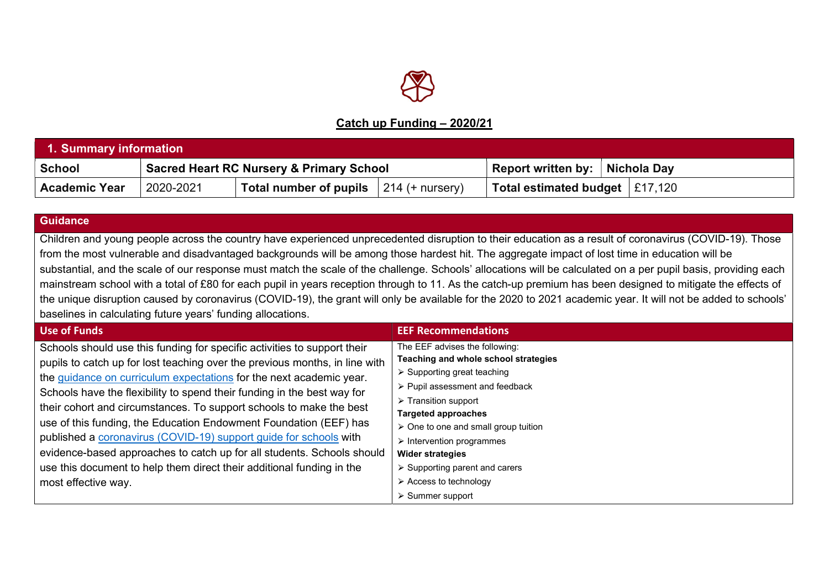

## Catch up Funding – 2020/21

| 1. Summary information |           |                                                     |                                  |                                  |  |  |
|------------------------|-----------|-----------------------------------------------------|----------------------------------|----------------------------------|--|--|
| School                 |           | <b>Sacred Heart RC Nursery &amp; Primary School</b> | Report written by:   Nichola Day |                                  |  |  |
| <b>Academic Year</b>   | 2020-2021 | <b>Total number of pupils</b> $ 214$ (+ nursery)    |                                  | Total estimated budget   £17,120 |  |  |

## **Guidance**

Children and young people across the country have experienced unprecedented disruption to their education as a result of coronavirus (COVID-19). Those from the most vulnerable and disadvantaged backgrounds will be among those hardest hit. The aggregate impact of lost time in education will be substantial, and the scale of our response must match the scale of the challenge. Schools' allocations will be calculated on a per pupil basis, providing each mainstream school with a total of £80 for each pupil in years reception through to 11. As the catch-up premium has been designed to mitigate the effects of the unique disruption caused by coronavirus (COVID-19), the grant will only be available for the 2020 to 2021 academic year. It will not be added to schools' baselines in calculating future years' funding allocations.

| <b>Use of Funds</b>                                                         | <b>EEF Recommendations</b>                    |
|-----------------------------------------------------------------------------|-----------------------------------------------|
| Schools should use this funding for specific activities to support their    | The EEF advises the following:                |
| pupils to catch up for lost teaching over the previous months, in line with | Teaching and whole school strategies          |
| the guidance on curriculum expectations for the next academic year.         | $\triangleright$ Supporting great teaching    |
| Schools have the flexibility to spend their funding in the best way for     | > Pupil assessment and feedback               |
| their cohort and circumstances. To support schools to make the best         | $\triangleright$ Transition support           |
|                                                                             | <b>Targeted approaches</b>                    |
| use of this funding, the Education Endowment Foundation (EEF) has           | > One to one and small group tuition          |
| published a coronavirus (COVID-19) support guide for schools with           | $\triangleright$ Intervention programmes      |
| evidence-based approaches to catch up for all students. Schools should      | <b>Wider strategies</b>                       |
| use this document to help them direct their additional funding in the       | $\triangleright$ Supporting parent and carers |
| most effective way.                                                         | $\triangleright$ Access to technology         |
|                                                                             | $\triangleright$ Summer support               |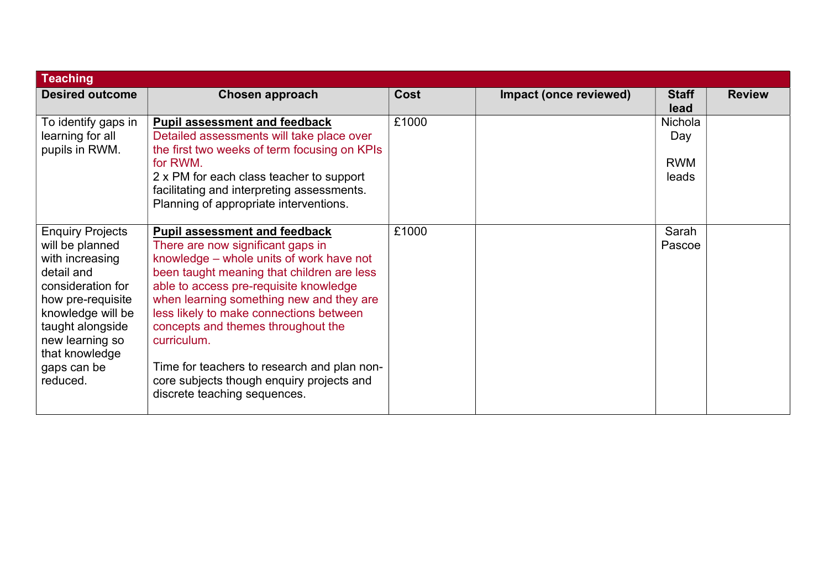| <b>Teaching</b>                                                                                                                                                                                                                |                                                                                                                                                                                                                                                                                                                                                                                                                                                                                       |       |                        |                                       |               |
|--------------------------------------------------------------------------------------------------------------------------------------------------------------------------------------------------------------------------------|---------------------------------------------------------------------------------------------------------------------------------------------------------------------------------------------------------------------------------------------------------------------------------------------------------------------------------------------------------------------------------------------------------------------------------------------------------------------------------------|-------|------------------------|---------------------------------------|---------------|
| <b>Desired outcome</b>                                                                                                                                                                                                         | <b>Chosen approach</b>                                                                                                                                                                                                                                                                                                                                                                                                                                                                | Cost  | Impact (once reviewed) | <b>Staff</b><br>lead                  | <b>Review</b> |
| To identify gaps in<br>learning for all<br>pupils in RWM.                                                                                                                                                                      | <b>Pupil assessment and feedback</b><br>Detailed assessments will take place over<br>the first two weeks of term focusing on KPIs<br>for RWM.<br>2 x PM for each class teacher to support<br>facilitating and interpreting assessments.<br>Planning of appropriate interventions.                                                                                                                                                                                                     | £1000 |                        | Nichola<br>Day<br><b>RWM</b><br>leads |               |
| <b>Enquiry Projects</b><br>will be planned<br>with increasing<br>detail and<br>consideration for<br>how pre-requisite<br>knowledge will be<br>taught alongside<br>new learning so<br>that knowledge<br>gaps can be<br>reduced. | <b>Pupil assessment and feedback</b><br>There are now significant gaps in<br>knowledge – whole units of work have not<br>been taught meaning that children are less<br>able to access pre-requisite knowledge<br>when learning something new and they are<br>less likely to make connections between<br>concepts and themes throughout the<br>curriculum.<br>Time for teachers to research and plan non-<br>core subjects though enquiry projects and<br>discrete teaching sequences. | £1000 |                        | Sarah<br>Pascoe                       |               |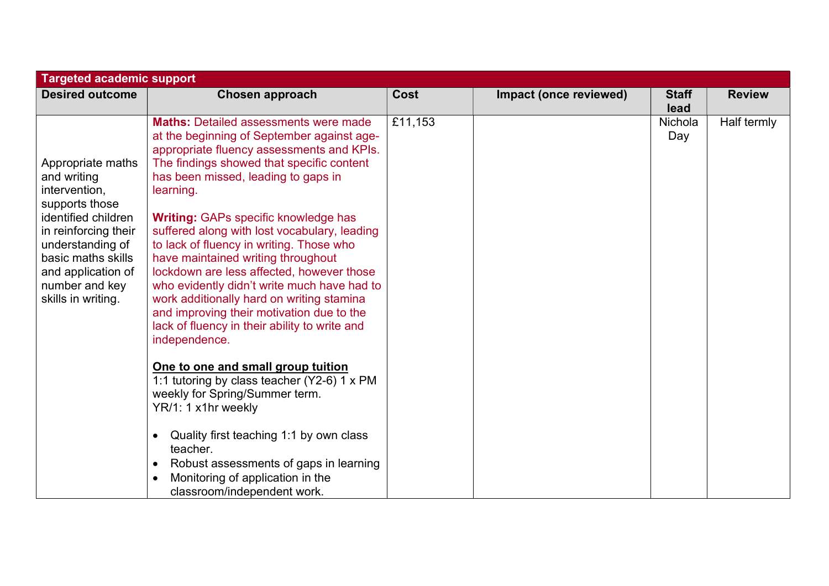| <b>Targeted academic support</b>                                                                                                                                                                                           |                                                                                                                                                                                                                                                                                                                                                                                                                                                                                                                                                                                                                                                                                                                                                                                                                                                                                                                                                                                                                               |             |                        |                      |               |  |  |
|----------------------------------------------------------------------------------------------------------------------------------------------------------------------------------------------------------------------------|-------------------------------------------------------------------------------------------------------------------------------------------------------------------------------------------------------------------------------------------------------------------------------------------------------------------------------------------------------------------------------------------------------------------------------------------------------------------------------------------------------------------------------------------------------------------------------------------------------------------------------------------------------------------------------------------------------------------------------------------------------------------------------------------------------------------------------------------------------------------------------------------------------------------------------------------------------------------------------------------------------------------------------|-------------|------------------------|----------------------|---------------|--|--|
| <b>Desired outcome</b>                                                                                                                                                                                                     | <b>Chosen approach</b>                                                                                                                                                                                                                                                                                                                                                                                                                                                                                                                                                                                                                                                                                                                                                                                                                                                                                                                                                                                                        | <b>Cost</b> | Impact (once reviewed) | <b>Staff</b><br>lead | <b>Review</b> |  |  |
| Appropriate maths<br>and writing<br>intervention,<br>supports those<br>identified children<br>in reinforcing their<br>understanding of<br>basic maths skills<br>and application of<br>number and key<br>skills in writing. | <b>Maths: Detailed assessments were made</b><br>at the beginning of September against age-<br>appropriate fluency assessments and KPIs.<br>The findings showed that specific content<br>has been missed, leading to gaps in<br>learning.<br><b>Writing: GAPs specific knowledge has</b><br>suffered along with lost vocabulary, leading<br>to lack of fluency in writing. Those who<br>have maintained writing throughout<br>lockdown are less affected, however those<br>who evidently didn't write much have had to<br>work additionally hard on writing stamina<br>and improving their motivation due to the<br>lack of fluency in their ability to write and<br>independence.<br>One to one and small group tuition<br>1:1 tutoring by class teacher (Y2-6) 1 x PM<br>weekly for Spring/Summer term.<br>YR/1: 1 x1hr weekly<br>Quality first teaching 1:1 by own class<br>$\bullet$<br>teacher.<br>Robust assessments of gaps in learning<br>$\bullet$<br>Monitoring of application in the<br>classroom/independent work. | £11,153     |                        | Nichola<br>Day       | Half termly   |  |  |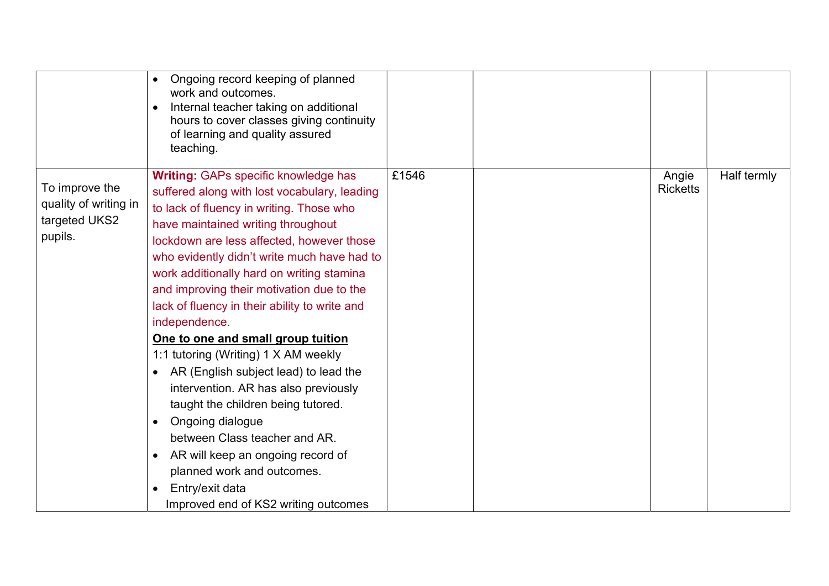|                                                                     | Ongoing record keeping of planned<br>work and outcomes.<br>Internal teacher taking on additional<br>$\bullet$<br>hours to cover classes giving continuity<br>of learning and quality assured<br>teaching.                                                                                                                                                                                                                                                                                                                                                                                                                                                                                                                                                                                                                                  |       |                          |             |
|---------------------------------------------------------------------|--------------------------------------------------------------------------------------------------------------------------------------------------------------------------------------------------------------------------------------------------------------------------------------------------------------------------------------------------------------------------------------------------------------------------------------------------------------------------------------------------------------------------------------------------------------------------------------------------------------------------------------------------------------------------------------------------------------------------------------------------------------------------------------------------------------------------------------------|-------|--------------------------|-------------|
| To improve the<br>quality of writing in<br>targeted UKS2<br>pupils. | <b>Writing: GAPs specific knowledge has</b><br>suffered along with lost vocabulary, leading<br>to lack of fluency in writing. Those who<br>have maintained writing throughout<br>lockdown are less affected, however those<br>who evidently didn't write much have had to<br>work additionally hard on writing stamina<br>and improving their motivation due to the<br>lack of fluency in their ability to write and<br>independence.<br>One to one and small group tuition<br>1:1 tutoring (Writing) 1 X AM weekly<br>AR (English subject lead) to lead the<br>intervention. AR has also previously<br>taught the children being tutored.<br>Ongoing dialogue<br>$\bullet$<br>between Class teacher and AR.<br>AR will keep an ongoing record of<br>planned work and outcomes.<br>Entry/exit data<br>Improved end of KS2 writing outcomes | £1546 | Angie<br><b>Ricketts</b> | Half termly |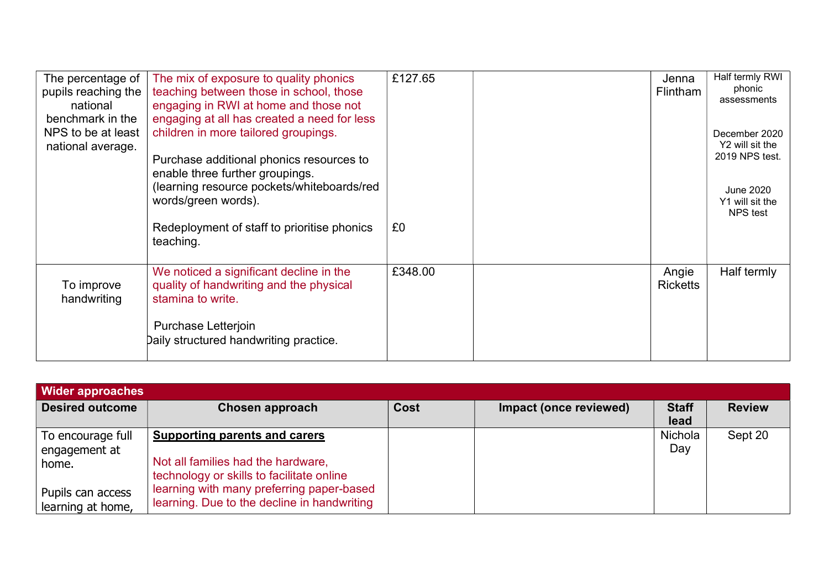| The percentage of<br>pupils reaching the<br>national<br>benchmark in the | The mix of exposure to quality phonics<br>teaching between those in school, those<br>engaging in RWI at home and those not<br>engaging at all has created a need for less | £127.65 | Jenna<br><b>Flintham</b> | Half termly RWI<br>phonic<br>assessments        |
|--------------------------------------------------------------------------|---------------------------------------------------------------------------------------------------------------------------------------------------------------------------|---------|--------------------------|-------------------------------------------------|
| NPS to be at least                                                       | children in more tailored groupings.                                                                                                                                      |         |                          | December 2020                                   |
| national average.                                                        | Purchase additional phonics resources to<br>enable three further groupings.                                                                                               |         |                          | Y2 will sit the<br>2019 NPS test.               |
|                                                                          | (learning resource pockets/whiteboards/red<br>words/green words).                                                                                                         |         |                          | <b>June 2020</b><br>Y1 will sit the<br>NPS test |
|                                                                          | Redeployment of staff to prioritise phonics<br>teaching.                                                                                                                  | £0      |                          |                                                 |
| To improve<br>handwriting                                                | We noticed a significant decline in the<br>quality of handwriting and the physical<br>stamina to write.                                                                   | £348.00 | Angie<br><b>Ricketts</b> | Half termly                                     |
|                                                                          | Purchase Letterjoin<br>Daily structured handwriting practice.                                                                                                             |         |                          |                                                 |

| <b>Wider approaches</b>                     |                                                                                                                         |             |                        |                      |               |  |  |
|---------------------------------------------|-------------------------------------------------------------------------------------------------------------------------|-------------|------------------------|----------------------|---------------|--|--|
| <b>Desired outcome</b>                      | Chosen approach                                                                                                         | <b>Cost</b> | Impact (once reviewed) | <b>Staff</b><br>lead | <b>Review</b> |  |  |
| To encourage full<br>engagement at<br>home. | <b>Supporting parents and carers</b><br>Not all families had the hardware,<br>technology or skills to facilitate online |             |                        | Nichola<br>Day       | Sept 20       |  |  |
| Pupils can access<br>learning at home,      | learning with many preferring paper-based<br>learning. Due to the decline in handwriting                                |             |                        |                      |               |  |  |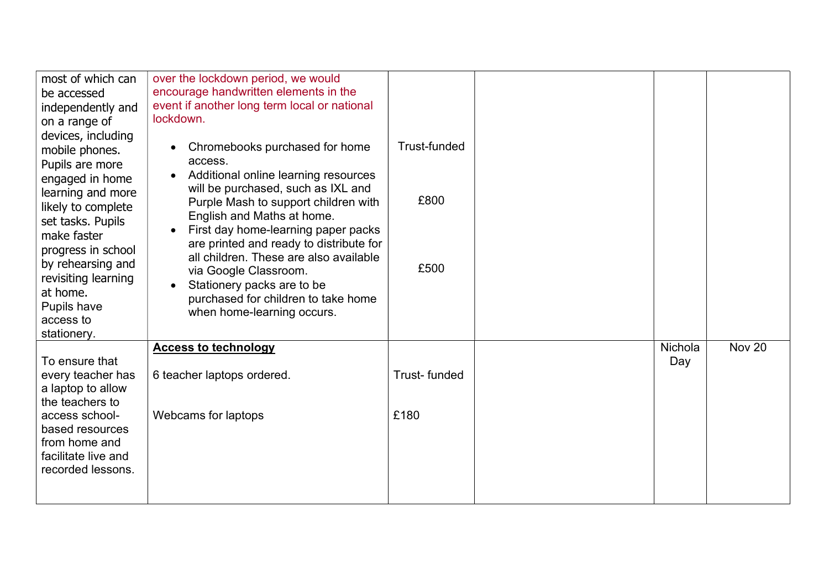| most of which can<br>be accessed<br>independently and                                                                                                                                                                                                                                               | over the lockdown period, we would<br>encourage handwritten elements in the<br>event if another long term local or national<br>lockdown.                                                                                                                                                                                                                                                                                                              |                              |                |               |
|-----------------------------------------------------------------------------------------------------------------------------------------------------------------------------------------------------------------------------------------------------------------------------------------------------|-------------------------------------------------------------------------------------------------------------------------------------------------------------------------------------------------------------------------------------------------------------------------------------------------------------------------------------------------------------------------------------------------------------------------------------------------------|------------------------------|----------------|---------------|
| on a range of<br>devices, including<br>mobile phones.<br>Pupils are more<br>engaged in home<br>learning and more<br>likely to complete<br>set tasks. Pupils<br>make faster<br>progress in school<br>by rehearsing and<br>revisiting learning<br>at home.<br>Pupils have<br>access to<br>stationery. | Chromebooks purchased for home<br>access.<br>Additional online learning resources<br>will be purchased, such as IXL and<br>Purple Mash to support children with<br>English and Maths at home.<br>First day home-learning paper packs<br>are printed and ready to distribute for<br>all children. These are also available<br>via Google Classroom.<br>Stationery packs are to be<br>purchased for children to take home<br>when home-learning occurs. | Trust-funded<br>£800<br>£500 |                |               |
| To ensure that<br>every teacher has<br>a laptop to allow<br>the teachers to<br>access school-<br>based resources<br>from home and<br>facilitate live and<br>recorded lessons.                                                                                                                       | <b>Access to technology</b><br>6 teacher laptops ordered.<br>Webcams for laptops                                                                                                                                                                                                                                                                                                                                                                      | Trust-funded<br>£180         | Nichola<br>Day | <b>Nov 20</b> |